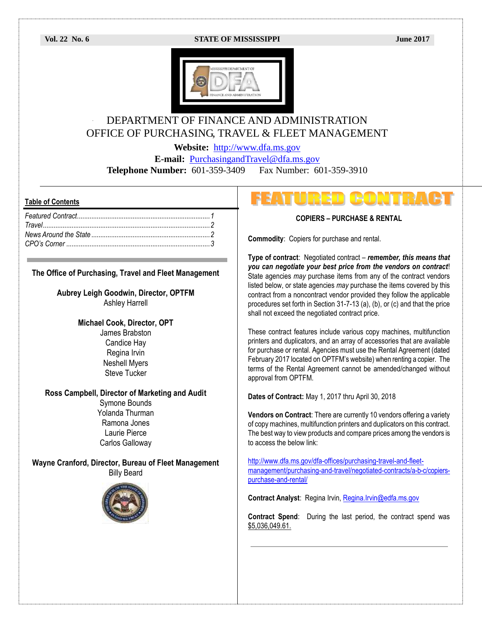#### **Vol. 22 No. 6 STATE OF MISSISSIPPI June 2017**



# DEPARTMENT OF FINANCE AND ADMINISTRATION OFFICE OF PURCHASING, TRAVEL & FLEET MANAGEMENT

**Website:** [http://www.dfa.ms.gov](http://www.dfa.ms.gov/)

**E-mail:** [PurchasingandTravel@dfa.ms.gov](mailto:PurchasingandTravel@dfa.ms.gov)

**Telephone Number:** 601-359-3409 Fax Number: 601-359-3910

#### **Table of Contents**

### **The Office of Purchasing, Travel and Fleet Management**

**Aubrey Leigh Goodwin, Director, OPTFM** Ashley Harrell

> **Michael Cook, Director, OPT** James Brabston Candice Hay Regina Irvin Neshell Myers Steve Tucker

### **Ross Campbell, Director of Marketing and Audit**

Symone Bounds Yolanda Thurman Ramona Jones Laurie Pierce Carlos Galloway

**Wayne Cranford, Director, Bureau of Fleet Management** Billy Beard



#### **COPIERS – PURCHASE & RENTAL**

**Commodity**: Copiers for purchase and rental.

**Type of contract**: Negotiated contract – *remember, this means that you can negotiate your best price from the vendors on contract*! State agencies *may* purchase items from any of the contract vendors listed below, or state agencies *may* purchase the items covered by this contract from a noncontract vendor provided they follow the applicable procedures set forth in Section 31-7-13 (a), (b), or (c) and that the price shall not exceed the negotiated contract price.

These contract features include various copy machines, multifunction printers and duplicators, and an array of accessories that are available for purchase or rental. Agencies must use the Rental Agreement (dated February 2017 located on OPTFM's website) when renting a copier. The terms of the Rental Agreement cannot be amended/changed without approval from OPTFM.

**Dates of Contract:** May 1, 2017 thru April 30, 2018

**Vendors on Contract**: There are currently 10 vendors offering a variety of copy machines, multifunction printers and duplicators on this contract. The best way to view products and compare prices among the vendors is to access the below link:

[http://www.dfa.ms.gov/dfa-offices/purchasing-travel-and-fleet](http://www.dfa.ms.gov/dfa-offices/purchasing-travel-and-fleet-management/purchasing-and-travel/negotiated-contracts/a-b-c/copiers-purchase-and-rental/)[management/purchasing-and-travel/negotiated-contracts/a-b-c/copiers](http://www.dfa.ms.gov/dfa-offices/purchasing-travel-and-fleet-management/purchasing-and-travel/negotiated-contracts/a-b-c/copiers-purchase-and-rental/)[purchase-and-rental/](http://www.dfa.ms.gov/dfa-offices/purchasing-travel-and-fleet-management/purchasing-and-travel/negotiated-contracts/a-b-c/copiers-purchase-and-rental/)

**Contract Analyst**: Regina Irvin, [Regina.Irvin@edfa.ms.gov](mailto:Regina.Irvin@edfa.ms.gov) 

**Contract Spend**: During the last period, the contract spend was \$5,036,049.61.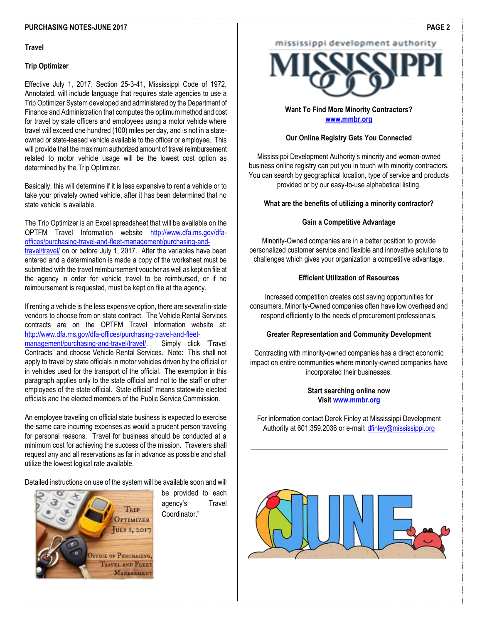#### **PURCHASING NOTES-JUNE 2017**

#### **Travel**

#### **Trip Optimizer**

Effective July 1, 2017, Section 25-3-41, Mississippi Code of 1972, Annotated, will include language that requires state agencies to use a Trip Optimizer System developed and administered by the Department of Finance and Administration that computes the optimum method and cost for travel by state officers and employees using a motor vehicle where travel will exceed one hundred (100) miles per day, and is not in a stateowned or state-leased vehicle available to the officer or employee. This will provide that the maximum authorized amount of travel reimbursement related to motor vehicle usage will be the lowest cost option as determined by the Trip Optimizer.

Basically, this will determine if it is less expensive to rent a vehicle or to take your privately owned vehicle, after it has been determined that no state vehicle is available.

The Trip Optimizer is an Excel spreadsheet that will be available on the OPTFM Travel Information website [http://www.dfa.ms.gov/dfa](http://www.dfa.ms.gov/dfa-offices/purchasing-travel-and-fleet-management/purchasing-and-travel/travel/)[offices/purchasing-travel-and-fleet-management/purchasing-and](http://www.dfa.ms.gov/dfa-offices/purchasing-travel-and-fleet-management/purchasing-and-travel/travel/)[travel/travel/](http://www.dfa.ms.gov/dfa-offices/purchasing-travel-and-fleet-management/purchasing-and-travel/travel/) on or before July 1, 2017. After the variables have been entered and a determination is made a copy of the worksheet must be submitted with the travel reimbursement voucher as well as kept on file at the agency in order for vehicle travel to be reimbursed, or if no reimbursement is requested, must be kept on file at the agency.

If renting a vehicle is the less expensive option, there are several in-state vendors to choose from on state contract. The Vehicle Rental Services contracts are on the OPTFM Travel Information website at: [http://www.dfa.ms.gov/dfa-offices/purchasing-travel-and-fleet](http://www.dfa.ms.gov/dfa-offices/purchasing-travel-and-fleet-management/purchasing-and-travel/travel/)[management/purchasing-and-travel/travel/](http://www.dfa.ms.gov/dfa-offices/purchasing-travel-and-fleet-management/purchasing-and-travel/travel/). Simply click "Travel Contracts" and choose Vehicle Rental Services. Note: This shall not apply to travel by state officials in motor vehicles driven by the official or in vehicles used for the transport of the official. The exemption in this paragraph applies only to the state official and not to the staff or other employees of the state official. State official" means statewide elected officials and the elected members of the Public Service Commission.

An employee traveling on official state business is expected to exercise the same care incurring expenses as would a prudent person traveling for personal reasons. Travel for business should be conducted at a minimum cost for achieving the success of the mission. Travelers shall request any and all reservations as far in advance as possible and shall utilize the lowest logical rate available.

Detailed instructions on use of the system will be available soon and will



be provided to each agency's Travel Coordinator."

# mississippi development authority



# **Want To Find More Minority Contractors? [www.mmbr.org](http://www.mmbr.org/)**

### **Our Online Registry Gets You Connected**

Mississippi Development Authority's minority and woman-owned business online registry can put you in touch with minority contractors. You can search by geographical location, type of service and products provided or by our easy-to-use alphabetical listing.

### **What are the benefits of utilizing a minority contractor?**

#### **Gain a Competitive Advantage**

Minority-Owned companies are in a better position to provide personalized customer service and flexible and innovative solutions to challenges which gives your organization a competitive advantage.

#### **Efficient Utilization of Resources**

Increased competition creates cost saving opportunities for consumers. Minority-Owned companies often have low overhead and respond efficiently to the needs of procurement professionals.

#### **Greater Representation and Community Development**

Contracting with minority-owned companies has a direct economic impact on entire communities where minority-owned companies have incorporated their businesses.

## **Start searching online now Visi[t www.mmbr.org](http://www.mmbr.org/)**

For information contact Derek Finley at Mississippi Development Authority at 601.359.2036 or e-mail: [dfinley@mississippi.org](mailto:dfinley@mississippi.org)